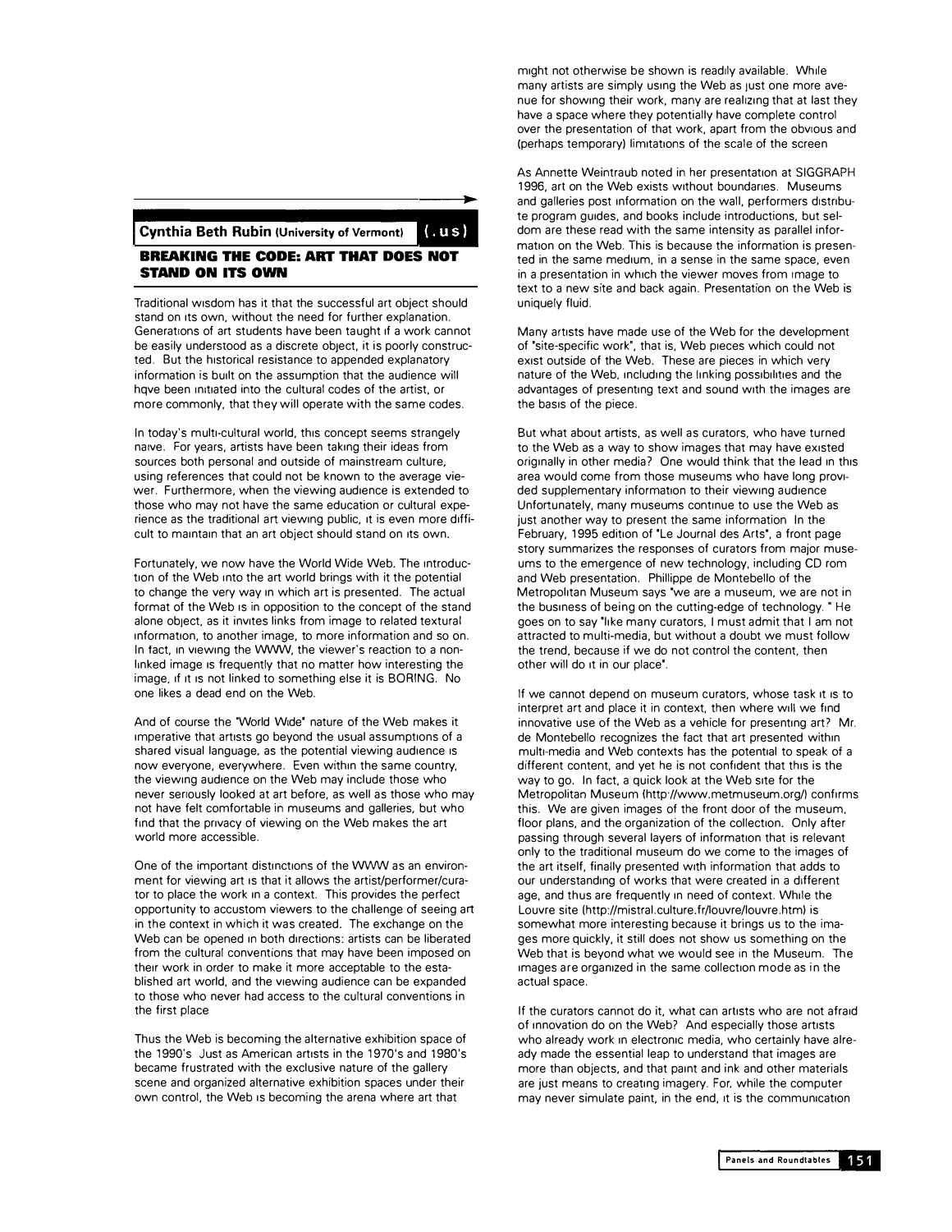## **Cynthia Beth Rubin (University of Vermont)**   $(u s)$

## **BREAKING THE CODE: ART THAT DOES NOT STAND ON ITS OWN**

Traditional wisdom has it that the successful art object should stand on its own, without the need for further explanation. Generations of art students have been taught if a work cannot be easily understood as a discrete object, it is poorly constructed. But the historical resistance to appended explanatory information is bullt on the assumption that the audience will hqve been initiated into the cultural codes of the artist, or more commonly, that they will operate with the same codes.

In today's multi-cultural world, this concept seems strangely naive. For years, artists have been taking their ideas from sources both personal and outside of mainstream culture, using references that could not be known to the average viewer. Furthermore, when the viewing audience is extended to those who may not have the same education or cultural experience as the traditional art viewing public, it is even more difficult to maintain that an art object should stand on its own.

Fortunately, we now have the World Wide Web. The introduction of the Web into the art world brings with it the potential to change the very way in which art is presented. The actual format of the Web Is in opposition to the concept of the stand alone object, as it invites links from image to related textural. 1nformat1on, to another image, to more information and so on. In fact, in viewing the WWW, the viewer's reaction to a nonlinked image is frequently that no matter how interesting the image, 1f It Is not linked to something else it is BORING. No one likes a dead end on the Web.

And of course the 'World Wide' nature of the Web makes it imperative that artists go beyond the usual assumptions of a shared visual language, as the potential viewing audience is now everyone, everywhere. Even within the same country, the viewing audience on the Web may include those who never seriously looked at art befare, as well as those who may not have felt comfortable in museums and galleries, but who find that the privacy of viewing on the Web makes the art world more accessible.

One of the important distinctions of the WWW as an environment for viewing art Is that it allows the artist/performer/curator to place the work in a context. This provides the perfect opportunity to accustom viewers to the challenge of seeing art in the context in which it was created. The exchange on the Web can be opened in both directions: artists can be liberated from the cultural conventions that may have been imposed on their work in order to make it more acceptable to the established art world, and the viewing audience can be expanded to those who never had access to the cultural conventions in the first place

Thus the Web is becoming the alternative exhibition space of the 1990's Just as American artists in the 1970's and 1980's became frustrated with the exclusive nature of the gallery scene and organized alternative exhibition spaces under their own control, the Web Is becoming the arena where art that

might not otherwise be shown is readily available. While many artists are simply using the Web as just one more avenue for showing their work, many are reailzing that at last they have a space where they potentially have complete control over the presentation of that work, apart from the obvious and (perhaps temporary) limitations of the scale of the screen

As Annette Weintraub noted in her presentation at SIGGRAPH 1996, art on the Web exists without boundaries. Museums and galleries post information on the wall, performers distribute program guides, and books include introductions, but seldom are these read with the same intensity as parallel information on the Web. This is because the information is presented in the same medium, in a sense in the same space, even in a presentation in which the viewer moves from image to text to a new site and back again. Presentation on the Web is uniquely fluid.

Many artists have made use of the Web for the development of "site-specific work", that is, Web pieces which could not exist outside of the Web. These are pieces in which very nature of the Web, including the linking possibilities and the advantages of presenting text and sound with the images are the basis of the piece.

But what about artists, as well as curators, who have turned to the Web as a way to show images that may have existed originally in other media? One would think that the lead in this area would come from those museums who have long provided supplementary information to their viewing audience Unfortunately, many museums continue to use the Web as just another way to present the same information In the February, 1995 edition of "Le Journal des Arts", a front page story summarizes the responses of curators from major museums to the emergence of new technology, including CD rom and Web presentation. Phillippe de Montebello of the Metropoiltan Museum says "we are a museum, we are not in the business of being on the cutting-edge of technology. " He goes on to say "like many curators, 1 must admit that I am not attracted to multi-media, but without a doubt we must follow the trend, because if we do not control the content, then other will do It in our place'.

lf we cannot depend on museum curators, whose task It Is to interpret art and place it in context, then where wlll we find innovative use of the Web as a vehicle for presenting art? Mr. de Montebello recognizes the fact that art presented within multi-media and Web contexts has the potential to speak of a different content, and yet he is not confident that this is the way to go. In fact, a quick look at the Web site for the Metropolitan Museum (http://www.metmuseum.org/) confirms this. We are given images of the front door of the museum, floor plans, and the organization of the collection. Only after passing through several layers of information that is relevant only to the traditional museum do we come to the images of the art itself, finally presented with information that adds to our understanding of works that were created in a different age, and thus are frequently in need of context. While the Louvre site (http://mistral.culture.fr/louvre/louvre.htm) is somewhat more interesting because it brings us to the images more quickly, it still does not show us something on the Web that is beyond what we would see in the Museum. The images are organized in the same collection mode as in the actual space.

If the curators cannot do it, what can artists who are not afraid of innovation do on the Web? And especially those artists who already work in electronic media, who certainly have already made the essential leap to understand that images are more than objects, and that paint and ink and other materials are just means to creating imagery. For. while the computer may never simulate paint, in the end, it is the communication